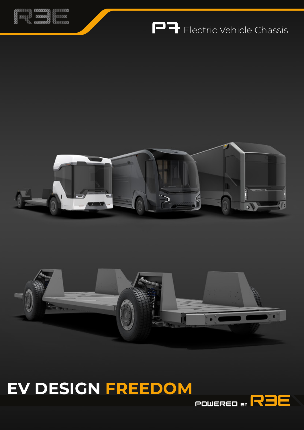

## **PP** Electric Vehicle Chassis





# **EV DESIGN FREEDOM**

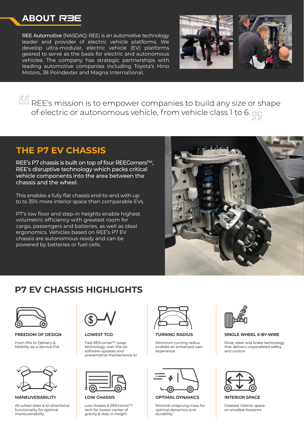#### **ABOUT**

REE Automotive (NASDAQ: REE) is an automotive technology leader and provider of electric vehicle platforms. We develop ultra-modular, electric vehicle (EV) platforms geared to serve as the basis for electric and autonomous vehicles. The company has strategic partnerships with leading automotive companies including Toyota's Hino Motors, JB Poindexter and Magna International.



 $\sqrt{16}$  REE's mission is to empower companies to build any size or shape of electric or autonomous vehicle, from vehicle class 1 to 6.  $\Pi$ 

#### **THE P7 EV CHASSIS**

REE's P7 chassis is built on top of four REECorners™, REE's disruptive technology which packs critical vehicle components into the area between the chassis and the wheel.

This enables a fully flat chassis end-to-end with up to to 35% more interior space than comparable EVs.

P7's low floor and step-in heights enable highest volumetric efficiency with greatest room for cargo, passengers and batteries, as well as ideal ergonomics. Vehicles based on REE's P7 EV chassis are autonomous-ready and can be powered by batteries or fuel cells.



### **P7 EV CHASSIS HIGHLIGHTS**



**FREEDOM OF DESIGN**

From RVs to Delivery & Mobility-as-a-Service EVs



**MANEUVERABILITY**

All-wheel steer & bi-directional functionality for optimal maneuverability

**LOWEST TCO**

Fast REEcorner™ swap technology, over-the-air software updates and preventative maintenance AI



**LOW CHASSIS**

Low chassis & REEcorner™ tech for lowest center of gravity & step-in-height



**TURNING RADIUS**

Minimum turning radius enables an enhanced user experience



**OPTIMAL DYNAMICS**

Minimal unsprung mass for optimal dynamics and durability



#### **SINGLE WHEEL X-BY-WIRE**

Drive, steer and brake technology that delivers unparalleled safety and control



**INTERIOR SPACE**

Greatest interior space on smallest footprint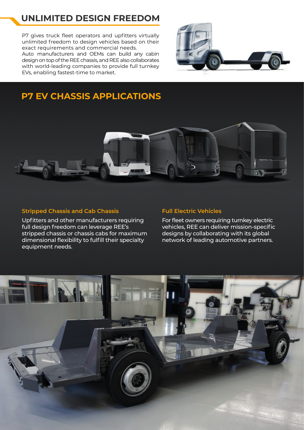### **UNLIMITED DESIGN FREEDOM**

P7 gives truck fleet operators and upfitters virtually unlimited freedom to design vehicles based on their exact requirements and commercial needs. Auto manufacturers and OEMs can build any cabin design on top of the REE chassis, and REE also collaborates with world-leading companies to provide full turnkey EVs, enabling fastest-time to market.



### **P7 EV CHASSIS APPLICATIONS**



#### **Stripped Chassis and Cab Chassis**

Upfitters and other manufacturers requiring full design freedom can leverage REE's stripped chassis or chassis cabs for maximum dimensional flexibility to fulfill their specialty equipment needs.

#### **Full Electric Vehicles**

For fleet owners requiring turnkey electric vehicles, REE can deliver mission-specific designs by collaborating with its global network of leading automotive partners.